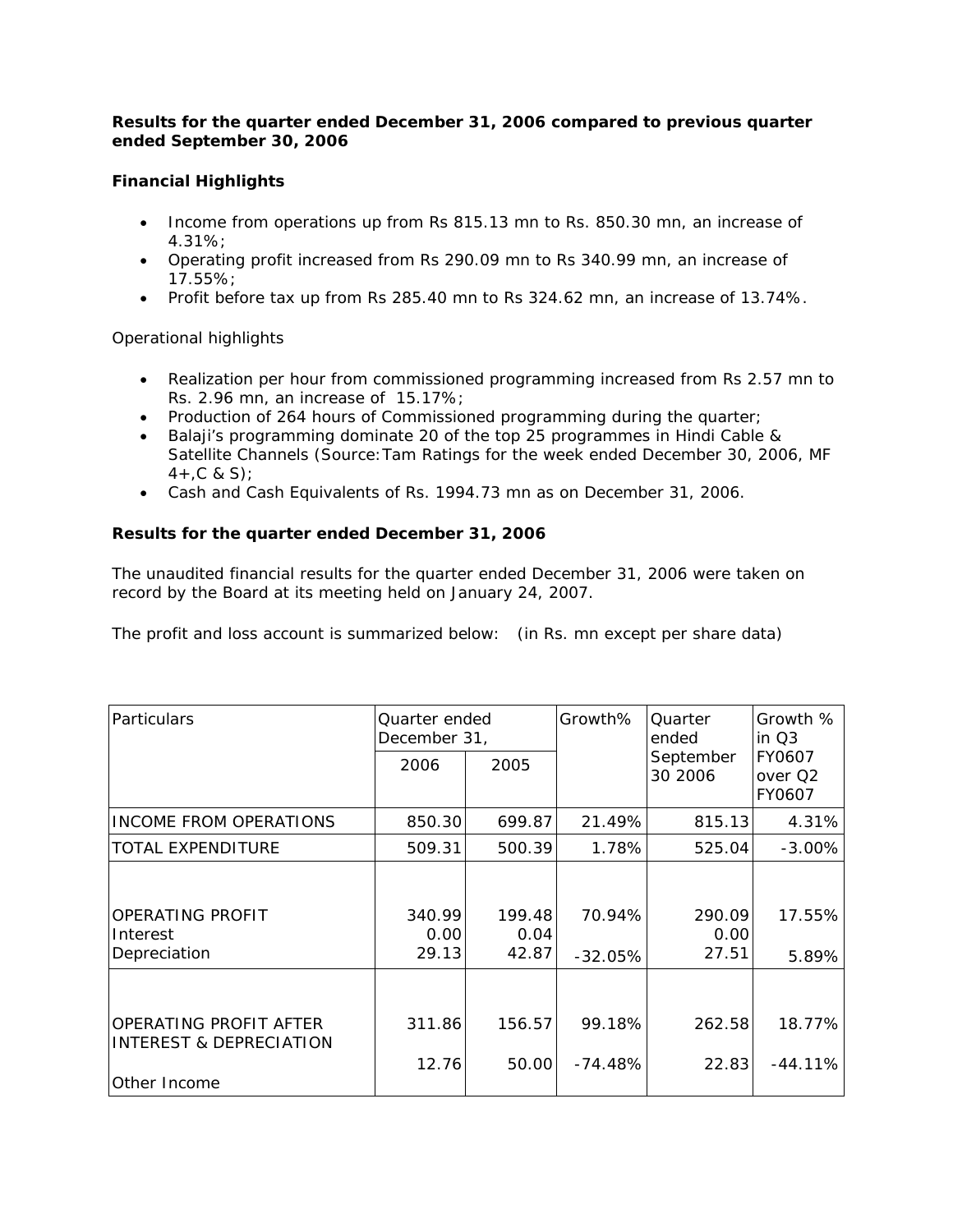## *Results for the quarter ended December 31, 2006 compared to previous quarter ended September 30, 2006*

# **Financial Highlights**

- Income from operations up from Rs 815.13 mn to Rs. 850.30 mn, an increase of 4.31%;
- Operating profit increased from Rs 290.09 mn to Rs 340.99 mn, an increase of 17.55%;
- Profit before tax up from Rs 285.40 mn to Rs 324.62 mn, an increase of 13.74%.

# Operational highlights

- Realization per hour from commissioned programming increased from Rs 2.57 mn to Rs. 2.96 mn, an increase of 15.17%;
- Production of 264 hours of Commissioned programming during the quarter;
- Balaji's programming dominate 20 of the top 25 programmes in Hindi Cable & Satellite Channels (Source:Tam Ratings for the week ended December 30, 2006, MF  $4 + C & S$ ;
- Cash and Cash Equivalents of Rs. 1994.73 mn as on December 31, 2006.

# **Results for the quarter ended December 31, 2006**

The unaudited financial results for the quarter ended December 31, 2006 were taken on record by the Board at its meeting held on January 24, 2007.

The profit and loss account is summarized below: (in Rs. mn except per share data)

| Particulars                                                       | Quarter ended<br>December 31, |                         | Growth%             | Quarter<br>ended        | Growth %<br>in $Q3$                     |  |
|-------------------------------------------------------------------|-------------------------------|-------------------------|---------------------|-------------------------|-----------------------------------------|--|
|                                                                   | 2006                          | 2005                    |                     | September<br>30 2006    | FY0607<br>over Q <sub>2</sub><br>FY0607 |  |
| <b>INCOME FROM OPERATIONS</b>                                     | 850.30                        | 699.87                  | 21.49%              | 815.13                  | 4.31%                                   |  |
| <b>TOTAL EXPENDITURE</b>                                          | 509.31                        | 500.39                  | 1.78%               | 525.04                  | $-3.00\%$                               |  |
| OPERATING PROFIT<br>Interest<br>Depreciation                      | 340.99<br>0.00<br>29.13       | 199.48<br>0.04<br>42.87 | 70.94%<br>$-32.05%$ | 290.09<br>0.00<br>27.51 | 17.55%<br>5.89%                         |  |
| OPERATING PROFIT AFTER<br>INTEREST & DEPRECIATION<br>Other Income | 311.86<br>12.76               | 156.57<br>50.00         | 99.18%<br>$-74.48%$ | 262.58<br>22.83         | 18.77%<br>$-44.11%$                     |  |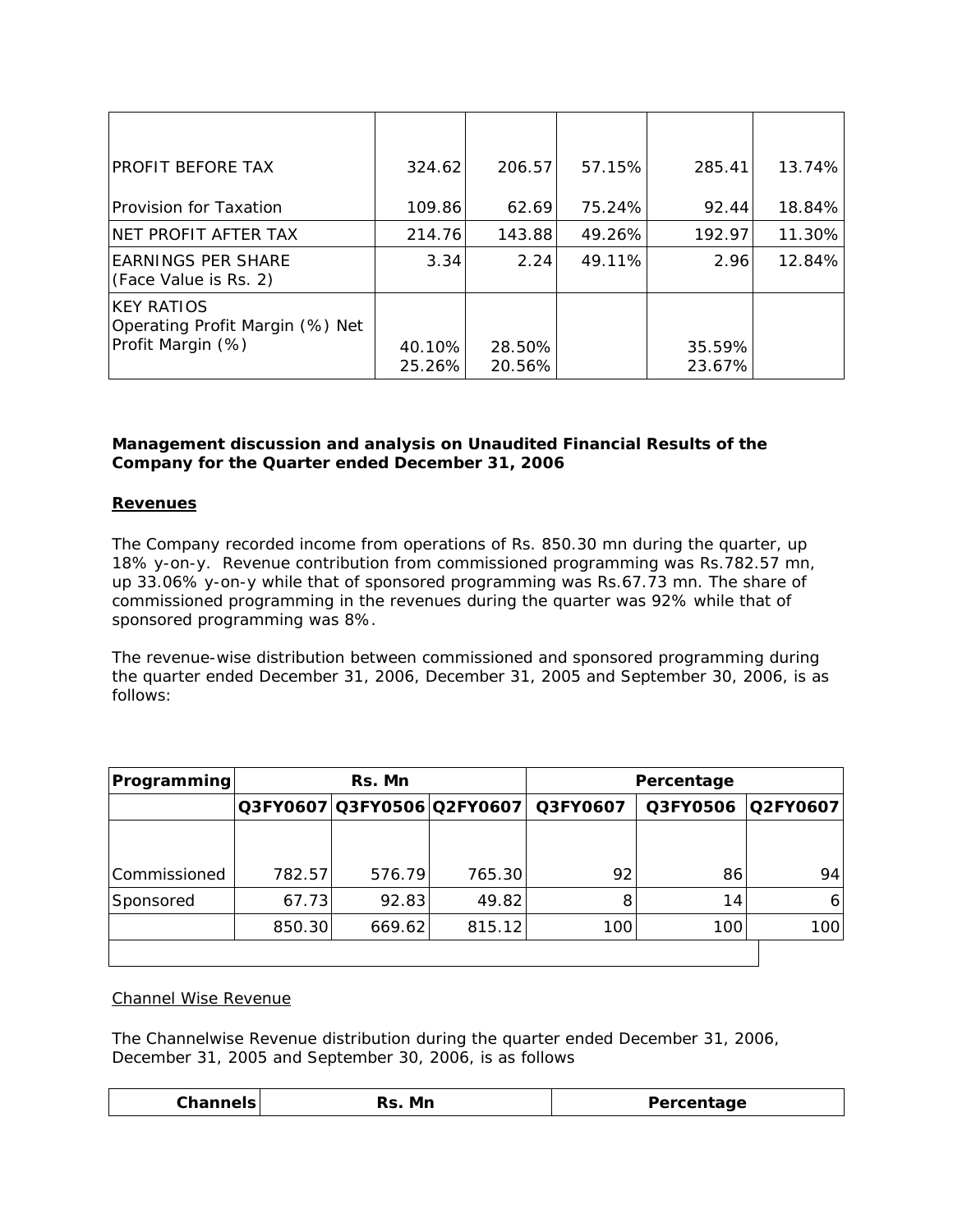| PROFIT BEFORE TAX                                                         | 324.62           | 206.57           | 57.15% | 285.41           | 13.74% |
|---------------------------------------------------------------------------|------------------|------------------|--------|------------------|--------|
| Provision for Taxation                                                    | 109.86           | 62.69            | 75.24% | 92.44            | 18.84% |
| NET PROFIT AFTER TAX                                                      | 214.76           | 143.88           | 49.26% | 192.97           | 11.30% |
| <b>EARNINGS PER SHARE</b><br>(Face Value is Rs. 2)                        | 3.34             | 2.24             | 49.11% | 2.96             | 12.84% |
| <b>KEY RATIOS</b><br>Operating Profit Margin (%) Net<br>Profit Margin (%) | 40.10%<br>25.26% | 28.50%<br>20.56% |        | 35.59%<br>23.67% |        |

## *Management discussion and analysis on Unaudited Financial Results of the Company for the Quarter ended December 31, 2006*

## **Revenues**

The Company recorded income from operations of Rs. 850.30 mn during the quarter, up 18% y-on-y. Revenue contribution from commissioned programming was Rs.782.57 mn, up 33.06% y-on-y while that of sponsored programming was Rs.67.73 mn. The share of commissioned programming in the revenues during the quarter was 92% while that of sponsored programming was 8%.

The revenue-wise distribution between commissioned and sponsored programming during the quarter ended December 31, 2006, December 31, 2005 and September 30, 2006, is as follows:

| <b>Programming</b> | Rs. Mn |        |        |                                     | Percentage |                 |  |
|--------------------|--------|--------|--------|-------------------------------------|------------|-----------------|--|
|                    |        |        |        | Q3FY0607 Q3FY0506 Q2FY0607 Q3FY0607 | Q3FY0506   | <b>Q2FY0607</b> |  |
|                    |        |        |        |                                     |            |                 |  |
| Commissioned       | 782.57 | 576.79 | 765.30 | 92                                  | 86         | 94              |  |
| Sponsored          | 67.73  | 92.83  | 49.82  | 8                                   | 14         | 6               |  |
|                    | 850.30 | 669.62 | 815.12 | 100                                 | 100        | 100             |  |
|                    |        |        |        |                                     |            |                 |  |

## Channel Wise Revenue

The Channelwise Revenue distribution during the quarter ended December 31, 2006, December 31, 2005 and September 30, 2006, is as follows

| ∵hanne<br>Mn | Percentage<br><b>Percenta</b> |
|--------------|-------------------------------|
|--------------|-------------------------------|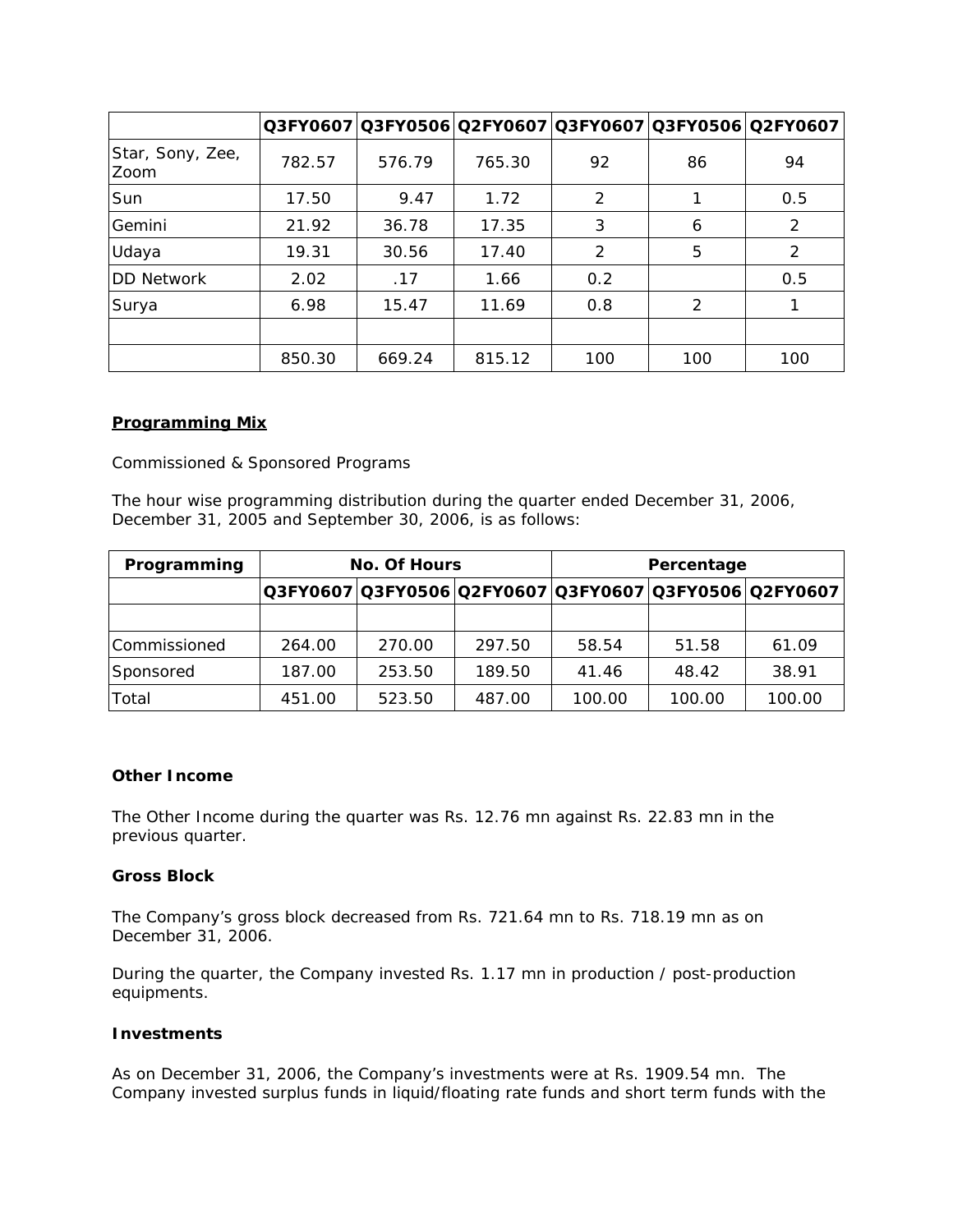|                          |        |        |        |     |     | Q3FY0607 Q3FY0506 Q2FY0607 Q3FY0607 Q3FY0506 Q2FY0607 |
|--------------------------|--------|--------|--------|-----|-----|-------------------------------------------------------|
| Star, Sony, Zee,<br>Zoom | 782.57 | 576.79 | 765.30 | 92  | 86  | 94                                                    |
| Sun                      | 17.50  | 9.47   | 1.72   | 2   |     | 0.5                                                   |
| Gemini                   | 21.92  | 36.78  | 17.35  | 3   | 6   | 2                                                     |
| Udaya                    | 19.31  | 30.56  | 17.40  | 2   | 5   | 2                                                     |
| <b>DD Network</b>        | 2.02   | .17    | 1.66   | 0.2 |     | 0.5                                                   |
| Surya                    | 6.98   | 15.47  | 11.69  | 0.8 | 2   |                                                       |
|                          |        |        |        |     |     |                                                       |
|                          | 850.30 | 669.24 | 815.12 | 100 | 100 | 100                                                   |

## *Programming Mix*

Commissioned & Sponsored Programs

The hour wise programming distribution during the quarter ended December 31, 2006, December 31, 2005 and September 30, 2006, is as follows:

| Programming  | <b>No. Of Hours</b> |        |        |        | Percentage |                                                       |  |  |
|--------------|---------------------|--------|--------|--------|------------|-------------------------------------------------------|--|--|
|              |                     |        |        |        |            | Q3FY0607 Q3FY0506 Q2FY0607 Q3FY0607 Q3FY0506 Q2FY0607 |  |  |
|              |                     |        |        |        |            |                                                       |  |  |
| Commissioned | 264.00              | 270.00 | 297.50 | 58.54  | 51.58      | 61.09                                                 |  |  |
| Sponsored    | 187.00              | 253.50 | 189.50 | 41.46  | 48.42      | 38.91                                                 |  |  |
| Total        | 451.00              | 523.50 | 487.00 | 100.00 | 100.00     | 100.00                                                |  |  |

#### **Other Income**

The Other Income during the quarter was Rs. 12.76 mn against Rs. 22.83 mn in the previous quarter.

## **Gross Block**

The Company's gross block decreased from Rs. 721.64 mn to Rs. 718.19 mn as on December 31, 2006.

During the quarter, the Company invested Rs. 1.17 mn in production / post-production equipments.

#### **Investments**

As on December 31, 2006, the Company's investments were at Rs. 1909.54 mn. The Company invested surplus funds in liquid/floating rate funds and short term funds with the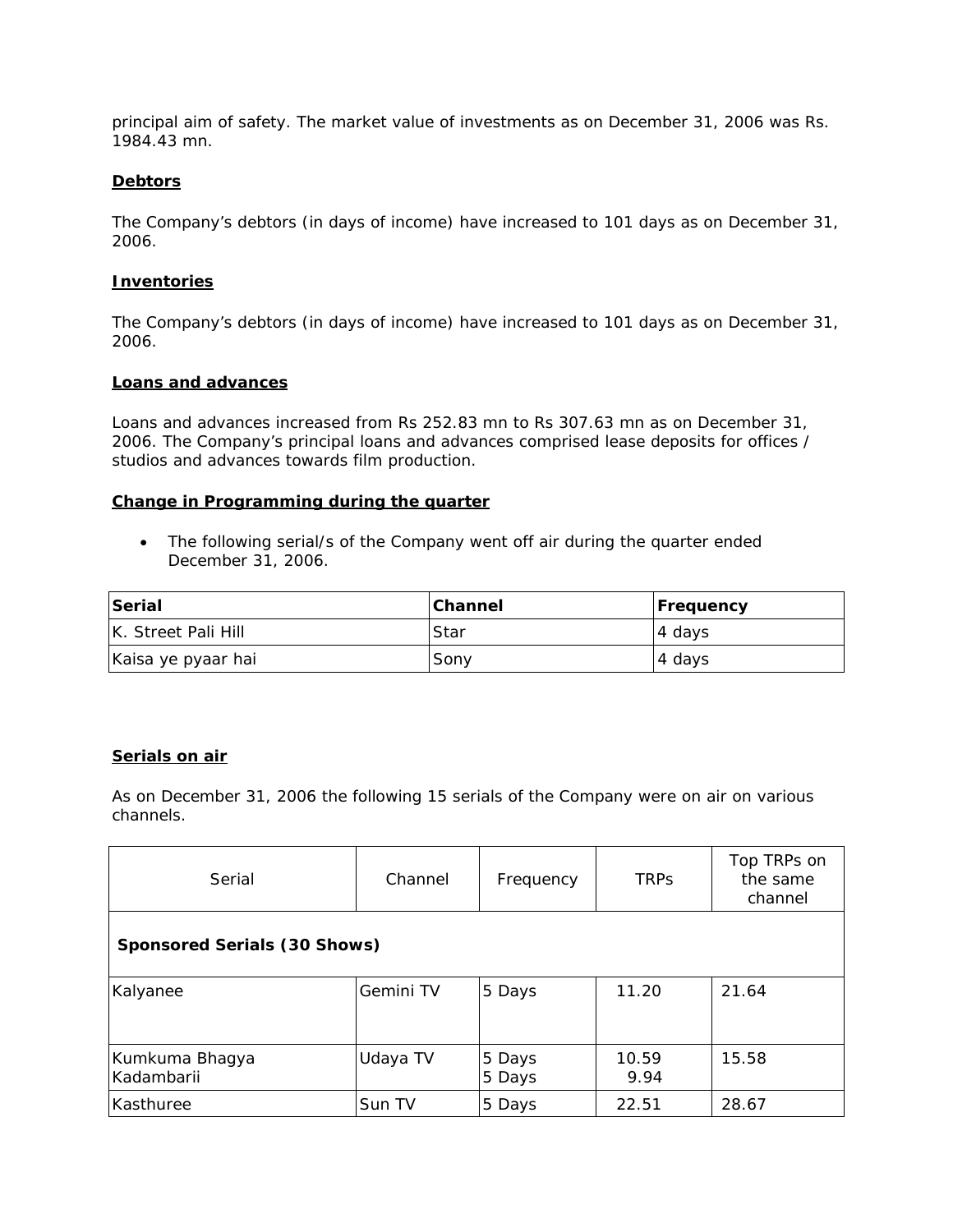principal aim of safety. *The market value of investments as on December 31, 2006 was Rs. 1984.43 mn.*

#### **Debtors**

The Company's debtors (in days of income) have increased to 101 days as on December 31, 2006.

## **Inventories**

The Company's debtors (in days of income) have increased to 101 days as on December 31, 2006.

#### **Loans and advances**

Loans and advances increased from Rs 252.83 mn to Rs 307.63 mn as on December 31, 2006. The Company's principal loans and advances comprised lease deposits for offices / studios and advances towards film production.

#### **Change in Programming during the quarter**

• The following serial/s of the Company went off air during the quarter ended December 31, 2006.

| Serial              | <b>Channel</b> | <b>Frequency</b> |
|---------------------|----------------|------------------|
| K. Street Pali Hill | .Star          | 4 days           |
| Kaisa ye pyaar hai  | Sony           | 4 days           |

## **Serials on air**

*As on December 31, 2006 the following 15 serials of the Company were on air on various channels.*

| Serial                       | Channel   | Frequency        | <b>TRPS</b>   | Top TRPs on<br>the same<br>channel |
|------------------------------|-----------|------------------|---------------|------------------------------------|
| Sponsored Serials (30 Shows) |           |                  |               |                                    |
| Kalyanee                     | Gemini TV | 5 Days           | 11.20         | 21.64                              |
| Kumkuma Bhagya<br>Kadambarii | Udaya TV  | 5 Days<br>5 Days | 10.59<br>9.94 | 15.58                              |
| Kasthuree                    | Sun TV    | 5 Days           | 22.51         | 28.67                              |